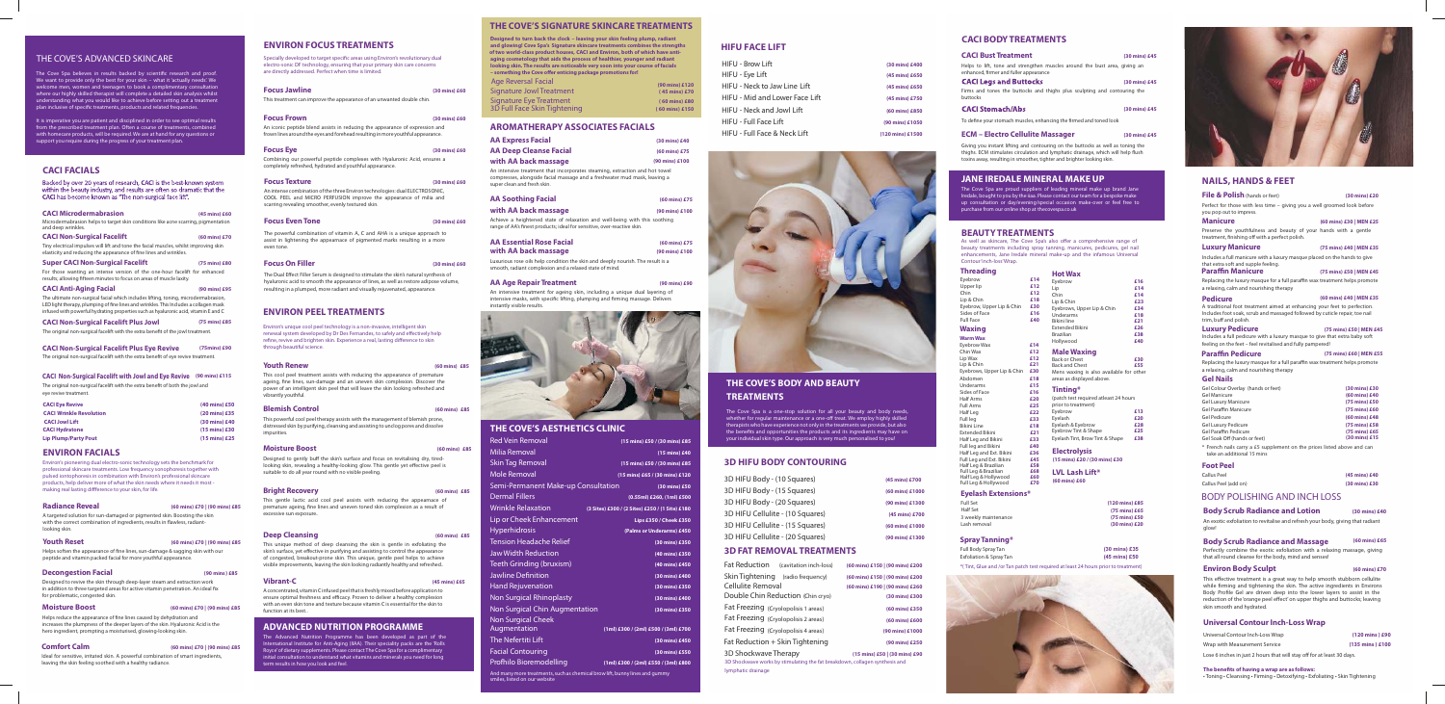## THE COVE'S ADVANCED SKINCARE

The Cove Spa believes in results backed by scientific research and proof. We want to provide only the best for your skin – what it 'actually needs'. We welcome men, women and teenagers to book a complimentary consultation where our highly skilled therapist will complete a detailed skin analysis whilst ling what you would like to achieve before setting out a treatment plan inclusive of specific treatments, products and related frequencies.

Helps soften the appearance of fine lines, sun-damage & sagging skin with our peptide and vitamin packed facial for more youthful appearance.

It is imperative you are patient and disciplined in order to see optimal results from the prescribed treatment plan. Often a course of treatments, combined with homecare products, will be required. We are at hand for any questions or support you require during the progress of your treatment plan.

increases the plumpness of the deeper layers of the skin. Hyaluronic Acid is the hero ingredient, prompting a moisturised, glowing-looking skin. Helps reduce the appearance of fine lines caused by dehydration and

#### **ENVIRON FACIALS**

# **Radiance Reveal (60 mins) £70 | (90 mins) £85**

A targeted solution for sun-damaged or pigmented skin. Boosting the skin with the correct combination of ingredients, results in flawless, radiantlooking skin.

#### **Youth Reset (60 mins) £70 | (90 mins) £85**

#### **Decongestion Facial (90 mins ) £85**

Designed to revive the skin through deep-layer steam and extraction work in addition to three targeted areas for active vitamin penetration. An ideal fix for problematic, congested skin.

## **Moisture Boost (60 mins) £70 | (90 mins) £85**

#### **Comfort Calm (60 mins) £70 | (90 mins) £85**

Ideal for sensitive, irritated skin. A powerful combination of smart ingredients, leaving the skin feeling soothed with a healthy radiance.

## **CACI FACIALS**

Backed by over 20 years of research, CACI is the best-known system within the beauty industry, and results are often so dramatic that the CACI has become known as "The non-surgical face lift".

#### This gentle lactic acid cool peel assists with reducing the appearnace of premature ageing, fine lines and uneven toned skin complexion as a result of excessive sun exposure.

Specially developed to target specific areas using Environ's revolutionary dual electro-sonic DF technology, ensuring that your primary skin care concerns are directly addressed. Perfect when time is limited.

## **ENVIRON PEEL TREATMENTS**

Environ's unique cool peel technology is a non-invasive, intelligent skin renewal system developed by Dr Des Fernandes, to safely and effectively help refine, revive and brighten skin. Experience a real, lasting difference to skin through beautiful science.

#### **Youth Renew (60 mins) £85**

This cool peel treatment assists with reducing the appearance of premature ageing, fine lines, sun-damage and an uneven skin complexion. Discover the power of an intelligent skin peel that will leave the skin looking refreshed and vibrantly youthful.

**with AA back massage (90 mins) £100** Achieve a heightened state of relaxation and well-being with this soothing range of AA's finest products; ideal for sensitive, over-reactive skin.

#### **Blemish Control (60 mins) £85**

This powerful cool peel therapy assists with the management of blemish prone, distressed skin by purifying, cleansing and assisting to unclog pores and dissolve impurities.

#### **Moisture Boost (60 mins) £85**

Designed to gently buff the skin's surface and focus on revitalising dry, tiredlooking skin, revealing a healthy-looking glow. This gentle yet effective peel is suitable to do all year round with no visible peeling.

#### **Bright Recovery (60 mins) £85**

#### **Deep Cleansing (60 mins) £85**

This unique method of deep cleansing the skin is gentle in exfoliating the skin's surface, yet effective in purifying and assisting to control the appearance of congested, breakout-prone skin. This unique, gentle peel helps to achieve visible improvements, leaving the skin looking radiantly healthy and refreshed..

#### **Vibrant-C (45 mins) £65**

A concentrated, vitamin C infused peel that is freshly mixed before application to ensure optimal freshness and efficacy. Proven to deliver a healthy complexion with an even skin tone and texture because vitamin C is essential for the skin to function at its best..

## **ADVANCED NUTRITION PROGRAMME**

The Cove Spa is a one-stop solution for all your beauty and body needs, whether for regular maintenance or a one-off treat. We employ highly skilled therapists who have experience not only in the treatments we provide, but also the benefits and opportunities the products and its ingredients may have on your individual skin type. Our approach is very much personalised to you!

The Advanced Nutrition Programme has been developed as part of the International Institute for Anti-Aging (IIAA). Their speciality packs are the 'Rolls Royce'of dietary supplements. Please contact The Cove Spa for a complimentary nitial consultation to understand what vitamins and minerals you need for long term results in how you look and feel.

## **ENVIRON FOCUS TREATMENTS**

| <b>Focus Jawline</b>                                                                                                                                            | (30 mins) £60 |
|-----------------------------------------------------------------------------------------------------------------------------------------------------------------|---------------|
| This treatment can improve the appearance of an unwanted double chin.                                                                                           |               |
| <b>Focus Frown</b>                                                                                                                                              | (30 mins) £60 |
| An iconic peptide blend assists in reducing the appearance of expression and<br>frown lines around the eyes and forehead resulting in more youthful appearance. |               |
| <b>Focus Eye</b>                                                                                                                                                | (30 mins) £60 |
| Combining our powerful peptide complexes with Hyaluronic Acid, ensures a<br>completely refreshed, hydrated and youthful appearance.                             |               |
| <b>Focus Texture</b>                                                                                                                                            | (30 mins) £60 |
| An intense combination of the three Environ technologies: dual ELECTROSONIC.                                                                                    |               |

An intense combination of the three Environ technologies: dual ELECTROSONIC, COOL PEEL and MICRO PERFUSION improve the appearance of milia and scarring revealing smoother, evenly textured skin.

#### **Focus Even Tone (30 mins) £60**

The powerful combination of vitamin A, C and AHA is a unique approach to assist in lightening the appearnace of pigmented marks resulting in a more even tone.

### **Focus On Filler**

The Dual Effect Filler Serum is designed to stimulate the skin's natural synthesis of hyaluronic acid to smooth the appearance of lines, as well as restore adipose volume, resulting in a plumped, more radiant and visually rejuvenated, appearance.

**(30 mins) £60**

## **AROMATHERAPYASSOCIATES FACIALS**

 toxins away, resulting in smoother, tighter and brighter looking skin. Giving you instant lifting and contouring on the buttocks as well as toning the thighs. ECM stimulates circulation and lymphatic drainage, which will help flush

Luxurious rose oils help condition the skin and deeply nourish. The result is a smooth, radiant complexion and a relaxed state of mind.

#### **AA Age RepairTreatment (90 mins) £90**

An intensive treatment for ageing skin, including a unique dual layering of intensive masks, with specific lifting, plumping and firming massage. Delivers instantly visible results.



# **THE COVE'S AESTHETICS CLINIC**

| <b>AA Express Facial</b>                                                                                                                                                                | (30 mins) £40           |
|-----------------------------------------------------------------------------------------------------------------------------------------------------------------------------------------|-------------------------|
| <b>AA Deep Cleanse Facial</b>                                                                                                                                                           | $(60 \text{ mins})$ £75 |
| with AA back massage                                                                                                                                                                    | (90 mins) £100          |
| An intensive treatment that incorporates steaming, extraction and hot towel<br>compresses, alongside facial massage and a freshwater mud mask, leaving a<br>super clean and fresh skin. |                         |
| <b>AA Soothing Facial</b>                                                                                                                                                               | $(60 \text{ mins})$ £75 |

| <b>Red Vein Removal</b>                                                                                      | (15 mins) £50 / (30 mins) £85                   |  |
|--------------------------------------------------------------------------------------------------------------|-------------------------------------------------|--|
| Milia Removal                                                                                                | (15 mins) £40                                   |  |
| <b>Skin Tag Removal</b>                                                                                      | (15 mins) £50 / (30 mins) £85                   |  |
| Mole Removal                                                                                                 | (15 mins) £65 / (30 mins) £120                  |  |
| Semi-Permanent Make-up Consultation                                                                          | (30 mins) £50                                   |  |
| <b>Dermal Fillers</b>                                                                                        | (0.55ml) £260, (1ml) £500                       |  |
| <b>Wrinkle Relaxation</b>                                                                                    | (3 Sites) £300 / (2 Sites) £250 / (1 Site) £180 |  |
| Lip or Cheek Enhancement                                                                                     | Lips £350 / Cheek £350                          |  |
| Hyperhidrosis                                                                                                | (Palms or Underarms) £450                       |  |
| <b>Tension Headache Relief</b>                                                                               | (30 mins) £350                                  |  |
| Jaw Width Reduction                                                                                          | (40 mins) £350                                  |  |
| Teeth Grinding (bruxism)                                                                                     | (40 mins) £450                                  |  |
| <b>Jawline Definition</b>                                                                                    | (30 mins) £400                                  |  |
| <b>Hand Rejuvenation</b>                                                                                     | (30 mins) £350                                  |  |
| <b>Non Surgical Rhinoplasty</b>                                                                              | (30 mins) £400                                  |  |
| Non Surgical Chin Augmentation                                                                               | (30 mins) £350                                  |  |
| <b>Non Surgical Cheek</b>                                                                                    |                                                 |  |
| Augmentation                                                                                                 | (1ml) £300 / (2ml) £500 / (3ml) £700            |  |
| The Nefertiti Lift                                                                                           | (30 mins) £450                                  |  |
| <b>Facial Contouring</b>                                                                                     | (30 mins) £550                                  |  |
| Profhilo Bioremodelling                                                                                      | (1ml) £300 / (2ml) £550 / (3ml) £800            |  |
| And many more treatments, such as chemical brow lift, bunny lines and gummy<br>smiles, listed on our website |                                                 |  |

## **THE COVE'S SIGNATURE SKINCARE TREATMENTS**

' **Designed to turn back the clock – leaving your skin feeling plump, radiant and glowing! Cove Spa's Signature skincare treatments combines the strengths of two world-class product houses, CACI and Environ, both of which have antiaging cosmetology that aids the process of healthier, younger and radiant looking skin. The results are noticeable very soon into your course of facials – something the Cove offer enticing package promotions for!**

| Age Reversal Facial          | (90 mins) £120          |
|------------------------------|-------------------------|
| Signature Jowl Treatment     | $(45 \text{ mins})$ £70 |
| Signature Eye Treatment      | (60 mins) £80           |
| 3D Full Face Skin Tightening | (60 mins) £150          |

# **THE COVE'S BODY AND BEAUTY TREATMENTS**

| <b>CACI Microdermabrasion</b><br>Microdermabrasion helps to target skin conditions like acne scarring, pigmentation<br>and deep wrinkles.                                                                                                                           | (45 mins) £60           |  |
|---------------------------------------------------------------------------------------------------------------------------------------------------------------------------------------------------------------------------------------------------------------------|-------------------------|--|
| <b>CACI Non-Surgical Facelift</b>                                                                                                                                                                                                                                   | (60 mins) £70           |  |
| Tiny electrical impulses will lift and tone the facial muscles, whilst improving skin<br>elasticity and reducing the appearance of fine lines and wrinkles.                                                                                                         |                         |  |
| <b>Super CACI Non-Surgical Facelift</b>                                                                                                                                                                                                                             | (75 mins) £80           |  |
| For those wanting an intense version of the one-hour facelift for enhanced<br>results; allowing fifteen minutes to focus on areas of muscle laxity.                                                                                                                 |                         |  |
| <b>CACI Anti-Aging Facial</b>                                                                                                                                                                                                                                       | (90 mins) £95           |  |
| The ultimate non-surgical facial which includes lifting, toning, microdermabrasion,<br>LED light therapy, plumping of fine lines and wrinkles. This Includes a collagen mask<br>infused with powerful hydrating properties such as hyaluronic acid, vitamin E and C |                         |  |
| <b>CACI Non-Surgical Facelift Plus Jowl</b>                                                                                                                                                                                                                         | (75 mins) £85           |  |
| The original non-surgical facelift with the extra benefit of the jowl treatment.                                                                                                                                                                                    |                         |  |
|                                                                                                                                                                                                                                                                     |                         |  |
| <b>CACI Non-Surgical Facelift Plus Eye Revive</b>                                                                                                                                                                                                                   | (75mins) £90            |  |
| The original non-surgical facelift with the extra benefit of eye revive treatment.                                                                                                                                                                                  |                         |  |
|                                                                                                                                                                                                                                                                     |                         |  |
| <b>CACI Non-Surgical Facelift with Jowl and Eye Revive</b>                                                                                                                                                                                                          | (90 mins) £115          |  |
| The original non-surgical facelift with the extra benefit of both the jowl and<br>eye revive treatment.                                                                                                                                                             |                         |  |
| <b>CACI Eye Revive</b>                                                                                                                                                                                                                                              | (40 mins) £50           |  |
| <b>CACI Wrinkle Revolution</b>                                                                                                                                                                                                                                      | $(20 \text{ mins})$ £35 |  |
| <b>CACI Jowl Lift</b>                                                                                                                                                                                                                                               | (30 mins) £40           |  |
| <b>CACI Hydratone</b>                                                                                                                                                                                                                                               | (15 mins) £30           |  |
| <b>Lip Plump/Party Pout</b>                                                                                                                                                                                                                                         | $(15 \text{ mins})$ £25 |  |
|                                                                                                                                                                                                                                                                     |                         |  |

3D HIFU Body - (10 Squares) **(45 mins) £700** 3D HIFU Body - (15 Squares) **(60 mins) £1000** 3D HIFU Body - (20 Squares) **(90 mins) £1300** 3D HIFU Cellulite - (10 Squares) **(45 mins) £700** 3D HIFU Cellulite - (15 Squares) **(60 mins) £1000** 3D HIFU Cellulite - (20 Squares) **(90 mins) £1300**

## **HIFU FACE LIFT**

| HIFU - Brow Lift               | (30 mins) £400   |
|--------------------------------|------------------|
| HIFU - Eye Lift                | (45 mins) £650   |
| HIFU - Neck to Jaw Line Lift   | (45 mins) £650   |
| HIFU - Mid and Lower Face Lift | (45 mins) £750   |
| HIFU - Neck and Jowl Lift      | (60 mins) £850   |
| HIFU - Full Face Lift          | (90 mins) £1050  |
| HIFU - Full Face & Neck Lift   | (120 mins) £1500 |



## **3D HIFU BODY CONTOURING**

| 3D HIFU Body - (10 Squares)      |  |
|----------------------------------|--|
| 3D HIFU Body - (15 Squares)      |  |
| 3D HIFU Body - (20 Squares)      |  |
| 3D HIFU Cellulite - (10 Squares) |  |
| 3D HIFU Cellulite - (15 Squares) |  |
| 3D HIFU Cellulite - (20 Squares) |  |

## **3D FAT REMOVAL TREATMENTS**

| Fat Reduction (cavitation inch-loss)                                                               | (60 mins) £150   (90 mins) £200 |
|----------------------------------------------------------------------------------------------------|---------------------------------|
| Skin Tightening (radio frequency)                                                                  | (60 mins) £150   (90 mins) £200 |
| Cellulite Removal                                                                                  | (60 mins) £190   (90 mins) £260 |
| Double Chin Reduction (Chin cryo)                                                                  | (30 mins) £300                  |
| Fat Freezing (Cryolopolisis 1 areas)                                                               | (60 mins) £350                  |
| Fat Freezing (Cryolopolisis 2 areas)                                                               | (60 mins) £600                  |
| Fat Freezing (Cryolopolisis 4 areas)                                                               | (90 mins) £1000                 |
| Fat Reduction + Skin Tightening                                                                    | (90 mins) £250                  |
| 3D Shockwave Therapy<br>3D Shockwave works by stimulating the fat breakdown collagen synthesis and | (15 mins) £50 (30 mins) £90     |

3D Shockwave works by stimulating the fat breakdown, collagen synthesis and lymphatic drainage

An exotic exfoliation to revitalise and refresh your body, giving that radiant glow!

Perfectly combine the exotic exfoliation with a relaxing massage, giving that all round cleanse for the body, mind and senses!

## **Environ Body Sculpt (60 mins) £70**

This effective treatment is a great way to help smooth stubborn cellulite while firming and tightening the skin. The active ingredients in Environs Body Profile Gel are driven deep into the lower layers to assist in the reduction of the 'orange peel effect'on upper thighs and buttocks; leaving skin smooth and hydrated.

## **Universal Contour Inch-Loss Wrap**

#### **AA Essential Rose Facial with AA back massage (60 mins) £75 (90 mins) £100**

| Universal Contour Inch-Loss Wrap |  | (120 mins) £90  |
|----------------------------------|--|-----------------|
| Wrap with Measurement Service    |  | (135 mins) £100 |
|                                  |  |                 |

### Lose 6 inches in just 2 hours that will stay off for at least 30 days.

#### **The benets of having a wrap are as follows:**

• Toning • Cleansing • Firming • Detoxifying • Exfoliating • Skin Tightening



#### **(60 mins) £65 Body Scrub Radiance and Massage**

## **NAILS, HANDS & FEET**

## **JANE IREDALE MINERAL MAKE UP**

The Cove Spa are proud suppliers of leading mineral make up brand Jane Iredale, bought to you by the iiaa. Please contact our team for a bespoke make up consultation or day/evening/special occasion make-over or feel free to purchase from our online shop at thecovespa.co.uk

## **BEAUTYTREATMENTS**

As well as skincare, The Cove Spa's also offer a comprehensive range of beauty treatments including spray tanning, manicures, pedicures, gel nail enhancements, Jane Iredale mineral make-up and the infamous Universal Contour 'inch-loss'Wrap.

# **CACI BODYTREATMENTS**

| <b>CACI Bust Treatment</b>                                                                                           | (30 mins) £45 |
|----------------------------------------------------------------------------------------------------------------------|---------------|
| Helps to lift, tone and strengthen muscles around the bust area, giving an<br>enhanced, firmer and fuller appearance |               |
| <b>CACI Leas and Buttocks</b>                                                                                        | (30 mins) £45 |
| Firms and tones the buttocks and thighs plus sculpting and contouring the<br>buttocks                                |               |
| <b>CACI Stomach/Abs</b>                                                                                              | (30 mins) £45 |

To define your stomach muscles, enhancing the firmed and toned look

## **ECM – Electro Cellulite Massager**

**(30 mins) £45**

| <b>File &amp; Polish</b> (hands or feet)                                                                                                                                          | $(30 \text{ mins})$ £20                                          |
|-----------------------------------------------------------------------------------------------------------------------------------------------------------------------------------|------------------------------------------------------------------|
| Perfect for those with less time - giving you a well groomed look before<br>you pop out to impress.                                                                               |                                                                  |
| <b>Manicure</b>                                                                                                                                                                   | (60 mins) £30   MEN £25                                          |
| Preserve the youthfulness and beauty of your hands with a gentle<br>treatment, finishing off with a perfect polish.                                                               |                                                                  |
| <b>Luxury Manicure</b>                                                                                                                                                            | (75 mins) £40   MEN £35                                          |
| Includes a full manicure with a luxury masque placed on the hands to give<br>that extra soft and supple feeling.                                                                  |                                                                  |
| <b>Paraffin Manicure</b>                                                                                                                                                          | (75 mins) £50   MEN £45                                          |
| Replacing the luxury masque for a full paraffin wax treatment helps promote<br>a relaxing, calm and nourishing therapy                                                            |                                                                  |
| <b>Pedicure</b>                                                                                                                                                                   | (60 mins) £40   MEN £35                                          |
| A traditional foot treatment aimed at enhancing your feet to perfection.<br>Includes foot soak, scrub and massaged followed by cuticle repair, toe nail<br>trim, buff and polish. |                                                                  |
| <b>Luxury Pedicure</b><br>Includes a full pedicure with a luxury masque to give that extra baby soft<br>feeling on the feet - feel revitalised and fully pampered!                | (75 mins) £50   MEN £45                                          |
| <b>Paraffin Pedicure</b>                                                                                                                                                          | (75 mins) £60   MEN £55                                          |
| Replacing the luxury masque for a full paraffin wax treatment helps promote<br>a relaxing, calm and nourishing therapy                                                            |                                                                  |
| <b>Gel Nails</b>                                                                                                                                                                  |                                                                  |
| Gel Colour Overlay (hands or feet)<br><b>Gel Manicure</b><br><b>Gel Luxury Manicure</b><br><b>Gel Paraffin Manicure</b>                                                           | (30 mins) £30<br>(60 mins) £40<br>(75 mins) £50<br>(75 mins) £60 |
| Gel Pedicure<br>Gel Luxury Pedicure<br>Gel Paraffin Pedicure<br>Gel Soak Off (hands or feet)                                                                                      | (60 mins) £48<br>(75 mins) £58<br>(75 mins) £65<br>(30 mins) £15 |
| * French nails carry a £5 supplement on the prices listed above and can<br>take an additional 15 mins                                                                             |                                                                  |
| <b>Foot Peel</b>                                                                                                                                                                  |                                                                  |
| Callus Peel                                                                                                                                                                       | (45 mins) £40                                                    |
| Callus Peel (add on)                                                                                                                                                              | (30 mins) £30                                                    |
| <b>BODY POLISHING AND INCH LOSS</b>                                                                                                                                               |                                                                  |

# **Body Scrub Radiance and Lotion** (30 mins) £40

## **Eyelash Extensions\***

Full Set **(120 mins) £85** 3 weekly maintenance **(75 mins) £50**

## **SprayTanning\***

 **(30 mins) £35**

| Full Set             | $(120 \text{ mins})$ £85 |
|----------------------|--------------------------|
| Half Set             | $(75 \text{ mins})$ £65  |
| 3 weekly maintenance | $(75 \text{ mins})$ £50  |
| Lash removal         | $(30 \text{ mins})$ £20  |
|                      |                          |

Exfoliation & Spray Tan **(45 mins) £50** Full Body Spray Tan

\*( Tint, Glue and /or Tan patch test required at least 24 hours prior to treatment)





| <b>Threading</b>                             |            | <b>Hot Wax</b>                             |     |
|----------------------------------------------|------------|--------------------------------------------|-----|
| Eyebrow                                      | £14        | Eyebrow                                    | £16 |
| Upper lip                                    | €12        | Lip                                        | £14 |
| Chin                                         | £12        | Chin                                       | £14 |
| Lip & Chin                                   | £18        | Lip & Chin                                 | £23 |
| Eyebrow, Upper Lip & Chin                    | £30        | Eyebrows, Upper Lip & Chin                 | £34 |
| Sides of Face                                | £16        | Underarms                                  | £18 |
| <b>Full Face</b>                             | £40        | <b>Rikini line</b>                         | £21 |
| <b>Waxing</b>                                |            | <b>Extended Bikini</b>                     | £26 |
| <b>Warm Wax</b>                              |            | <b>Brazilian</b>                           | £38 |
| Evebrow Wax                                  | £14        | Hollywood                                  | £40 |
| Chin Wax                                     | £12        |                                            |     |
| Lip Wax                                      | £12        | <b>Male Waxing</b><br><b>Back or Chest</b> | £30 |
| Lip & Chin                                   | £21        | <b>Back and Chest</b>                      | £55 |
| Eyebrows, Upper Lip & Chin                   | £30        | Mens waxing is also available for other    |     |
| Abdomen                                      | £18        | areas as displayed above.                  |     |
| Underarms                                    | £15        |                                            |     |
| Sides of Face                                | £16        | Tinting*                                   |     |
| <b>Half Arms</b>                             | £20        | (patch test required atleast 24 hours      |     |
| <b>Full Arms</b>                             | £25        | prior to treatment)                        |     |
| Half Leg                                     | £22        | Eyebrow                                    | £13 |
| Full lea                                     | £33        | Eyelash                                    | £20 |
| <b>Bikini Line</b>                           | £18        | Eyelash & Eyebrow                          | £28 |
| <b>Extended Bikini</b>                       | £21        | Eyebrow Tint & Shape                       | £25 |
| Half Leg and Bikini                          | £33        | Eyelash Tint, Brow Tint & Shape            | £38 |
| Full leg and Bikini                          | £40        |                                            |     |
| Half Leg and Ext. Bikini                     | £36        | <b>Electrolysis</b>                        |     |
| Full Leg and Ext. Bikini                     | £45        | (15 mins) £20 / (30 mins) £30              |     |
| Half Leg & Brazilian                         | £58        |                                            |     |
| Full Leg & Brazilian                         | £68        | <b>LVL Lash Lift*</b>                      |     |
| Half Leg & Hollywood<br>Full Leg & Hollywood | £60<br>£70 | (60 mins) £60                              |     |
|                                              |            |                                            |     |

Lip **£14** Chin **£14**

Environ's pioneering dual electro-sonic technology sets the benchmark for professional skincare treatments. Low frequency sonophoresis together with pulsed iontophoresis in combination with Environ's professional skincare products, help deliver more of what the skin needs where it needs it most making real lasting diffference to your skin, for life.